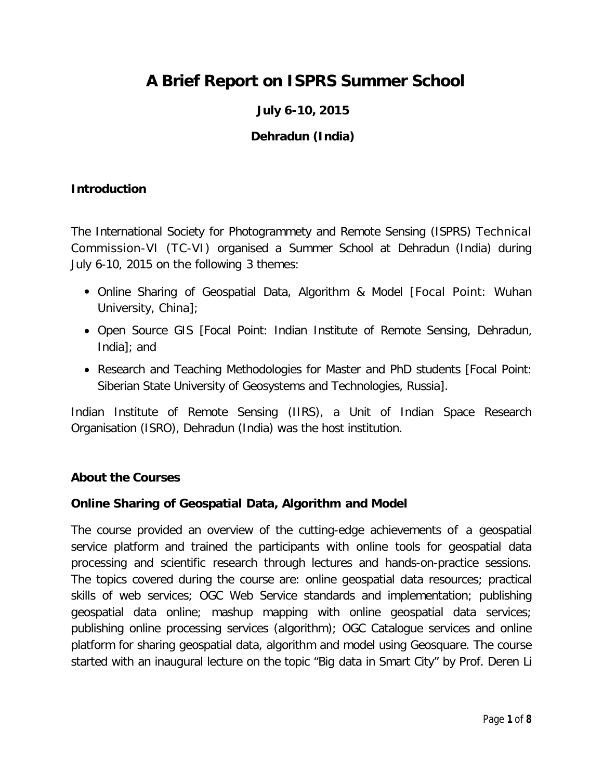# **A Brief Report on ISPRS Summer School**

# **July 6-10, 2015**

## **Dehradun (India)**

### **Introduction**

The International Society for Photogrammety and Remote Sensing (ISPRS) Technical Commission-VI (TC-VI) organised a Summer School at Dehradun (India) during July 6-10, 2015 on the following 3 themes:

- Online Sharing of Geospatial Data, Algorithm & Model [Focal Point: Wuhan University, China];
- Open Source GIS [Focal Point: Indian Institute of Remote Sensing, Dehradun, India]; and
- Research and Teaching Methodologies for Master and PhD students [Focal Point: Siberian State University of Geosystems and Technologies, Russia].

Indian Institute of Remote Sensing (IIRS), a Unit of Indian Space Research Organisation (ISRO), Dehradun (India) was the host institution.

### **About the Courses**

### *Online Sharing of Geospatial Data, Algorithm and Model*

The course provided an overview of the cutting-edge achievements of a geospatial service platform and trained the participants with online tools for geospatial data processing and scientific research through lectures and hands-on-practice sessions. The topics covered during the course are: online geospatial data resources; practical skills of web services; OGC Web Service standards and implementation; publishing geospatial data online; mashup mapping with online geospatial data services; publishing online processing services (algorithm); OGC Catalogue services and online platform for sharing geospatial data, algorithm and model using Geosquare. The course started with an inaugural lecture on the topic "Big data in Smart City" by Prof. Deren Li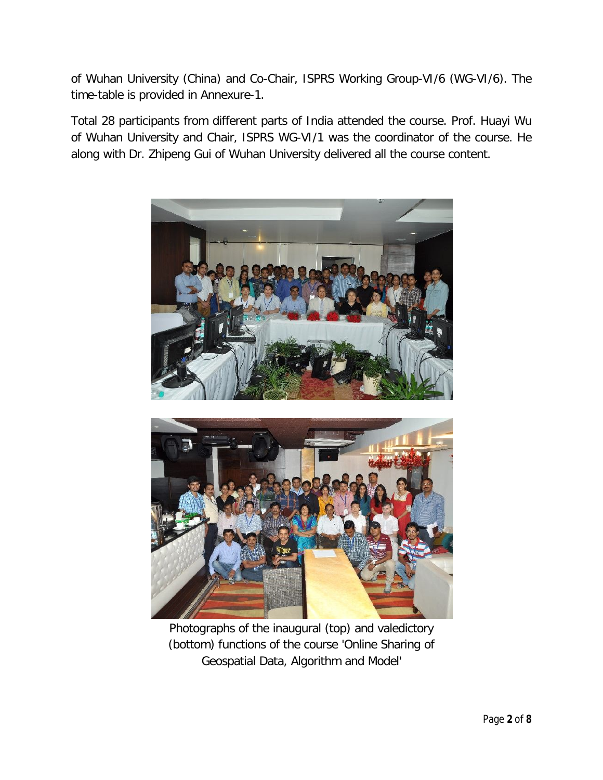of Wuhan University (China) and Co-Chair, ISPRS Working Group-VI/6 (WG-VI/6). The time-table is provided in Annexure-1.

Total 28 participants from different parts of India attended the course. Prof. Huayi Wu of Wuhan University and Chair, ISPRS WG-VI/1 was the coordinator of the course. He along with Dr. Zhipeng Gui of Wuhan University delivered all the course content.





*Photographs of the inaugural (top) and valedictory (bottom) functions of the course 'Online Sharing of Geospatial Data, Algorithm and Model'*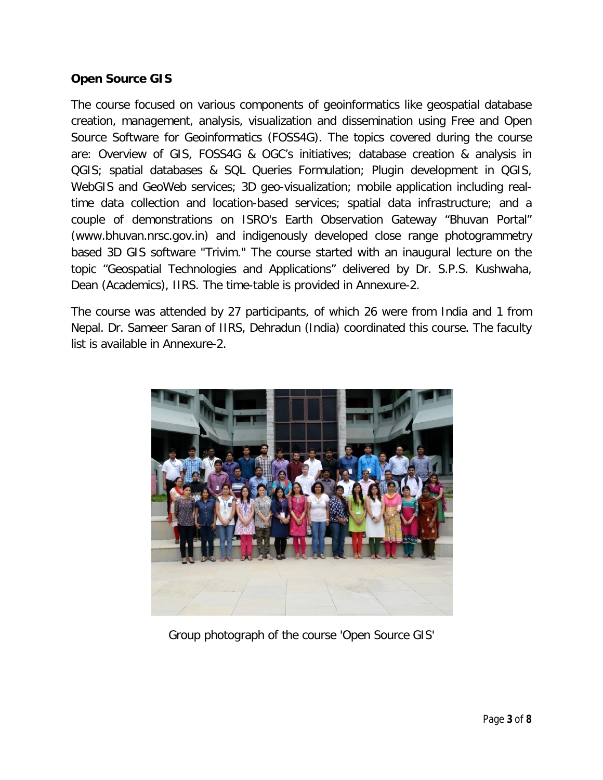### *Open Source GIS*

The course focused on various components of geoinformatics like geospatial database creation, management, analysis, visualization and dissemination using Free and Open Source Software for Geoinformatics (FOSS4G). The topics covered during the course are: Overview of GIS, FOSS4G & OGC's initiatives; database creation & analysis in QGIS; spatial databases & SQL Queries Formulation; Plugin development in QGIS, WebGIS and GeoWeb services; 3D geo-visualization; mobile application including realtime data collection and location-based services; spatial data infrastructure; and a couple of demonstrations on ISRO's Earth Observation Gateway "Bhuvan Portal" (www.bhuvan.nrsc.gov.in) and indigenously developed close range photogrammetry based 3D GIS software "Trivim." The course started with an inaugural lecture on the topic "Geospatial Technologies and Applications" delivered by Dr. S.P.S. Kushwaha, Dean (Academics), IIRS. The time-table is provided in Annexure-2.

The course was attended by 27 participants, of which 26 were from India and 1 from Nepal. Dr. Sameer Saran of IIRS, Dehradun (India) coordinated this course. The faculty list is available in Annexure-2.



*Group photograph of the course 'Open Source GIS'*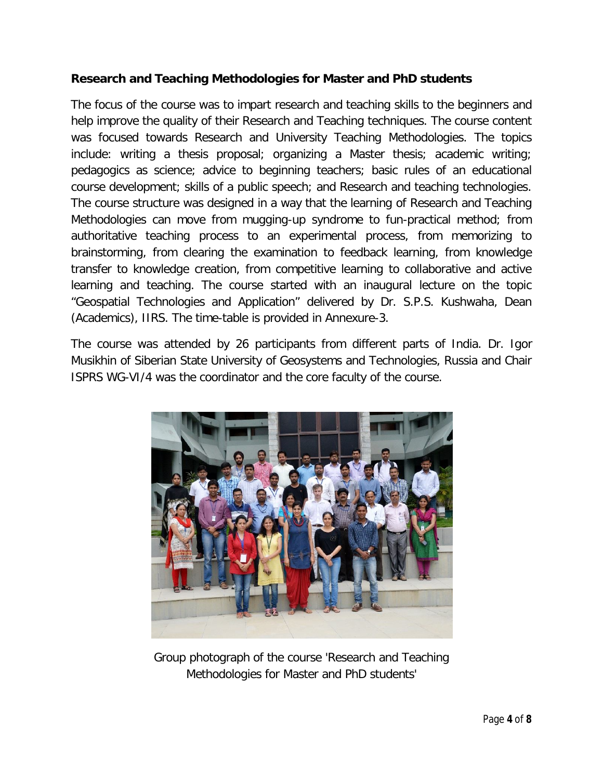### *Research and Teaching Methodologies for Master and PhD students*

The focus of the course was to impart research and teaching skills to the beginners and help improve the quality of their Research and Teaching techniques. The course content was focused towards Research and University Teaching Methodologies. The topics include: writing a thesis proposal; organizing a Master thesis; academic writing; pedagogics as science; advice to beginning teachers; basic rules of an educational course development; skills of a public speech; and Research and teaching technologies. The course structure was designed in a way that the learning of Research and Teaching Methodologies can move from mugging-up syndrome to fun-practical method; from authoritative teaching process to an experimental process, from memorizing to brainstorming, from clearing the examination to feedback learning, from knowledge transfer to knowledge creation, from competitive learning to collaborative and active learning and teaching. The course started with an inaugural lecture on the topic "Geospatial Technologies and Application" delivered by Dr. S.P.S. Kushwaha, Dean (Academics), IIRS. The time-table is provided in Annexure-3.

The course was attended by 26 participants from different parts of India. Dr. Igor Musikhin of Siberian State University of Geosystems and Technologies, Russia and Chair ISPRS WG-VI/4 was the coordinator and the core faculty of the course.



*Group photograph of the course 'Research and Teaching Methodologies for Master and PhD students'*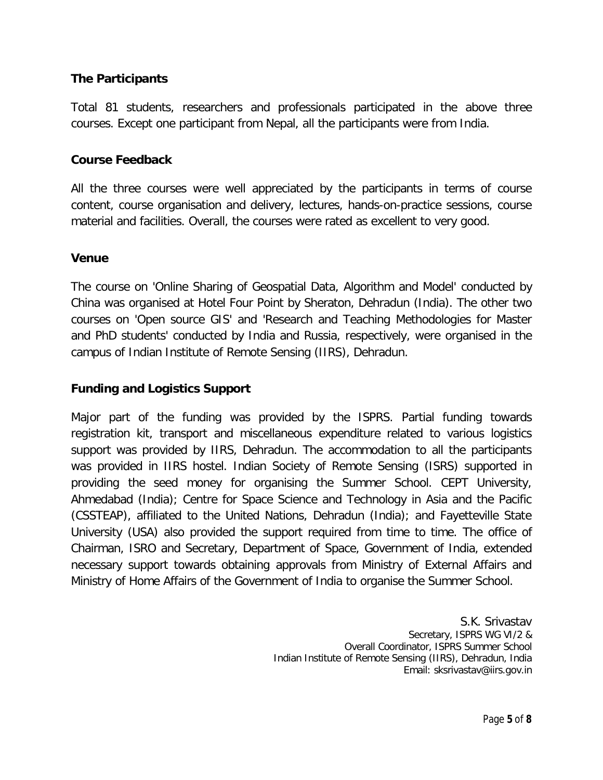### **The Participants**

Total 81 students, researchers and professionals participated in the above three courses. Except one participant from Nepal, all the participants were from India.

### **Course Feedback**

All the three courses were well appreciated by the participants in terms of course content, course organisation and delivery, lectures, hands-on-practice sessions, course material and facilities. Overall, the courses were rated as excellent to very good.

### **Venue**

The course on 'Online Sharing of Geospatial Data, Algorithm and Model' conducted by China was organised at Hotel Four Point by Sheraton, Dehradun (India). The other two courses on 'Open source GIS' and 'Research and Teaching Methodologies for Master and PhD students' conducted by India and Russia, respectively, were organised in the campus of Indian Institute of Remote Sensing (IIRS), Dehradun.

### **Funding and Logistics Support**

Major part of the funding was provided by the ISPRS. Partial funding towards registration kit, transport and miscellaneous expenditure related to various logistics support was provided by IIRS, Dehradun. The accommodation to all the participants was provided in IIRS hostel. Indian Society of Remote Sensing (ISRS) supported in providing the seed money for organising the Summer School. CEPT University, Ahmedabad (India); Centre for Space Science and Technology in Asia and the Pacific (CSSTEAP), affiliated to the United Nations, Dehradun (India); and Fayetteville State University (USA) also provided the support required from time to time. The office of Chairman, ISRO and Secretary, Department of Space, Government of India, extended necessary support towards obtaining approvals from Ministry of External Affairs and Ministry of Home Affairs of the Government of India to organise the Summer School.

> S.K. Srivastav *Secretary, ISPRS WG VI/2 & Overall Coordinator, ISPRS Summer School Indian Institute of Remote Sensing (IIRS), Dehradun, India Email: sksrivastav@iirs.gov.in*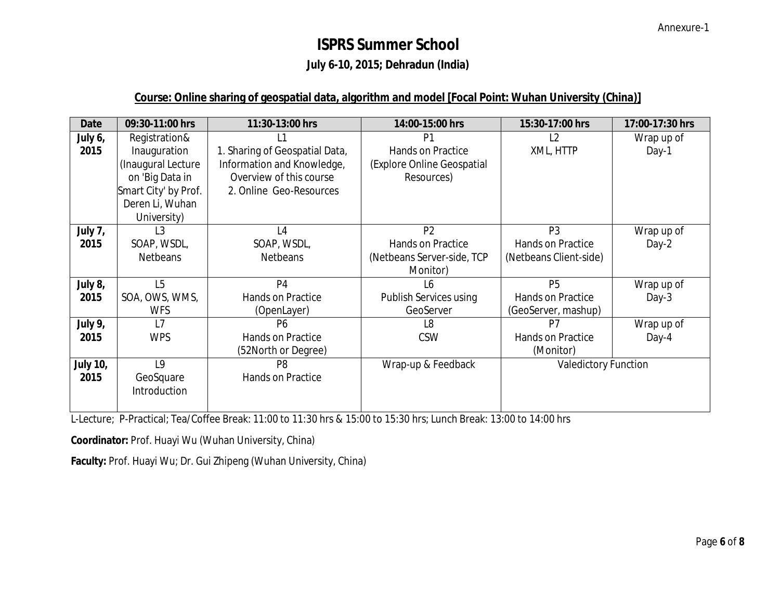# **ISPRS Summer School**

# **July 6-10, 2015; Dehradun (India)**

## **Course: Online sharing of geospatial data, algorithm and model [Focal Point: Wuhan University (China)]**

| <b>Date</b>     | 09:30-11:00 hrs      | 11:30-13:00 hrs                | 14:00-15:00 hrs               | 15:30-17:00 hrs             | 17:00-17:30 hrs |
|-----------------|----------------------|--------------------------------|-------------------------------|-----------------------------|-----------------|
| July 6,         | Registration&        |                                | P1                            | L2                          | Wrap up of      |
| 2015            | Inauguration         | 1. Sharing of Geospatial Data, | Hands on Practice             | XML, HTTP                   | Day-1           |
|                 | (Inaugural Lecture   | Information and Knowledge,     | (Explore Online Geospatial    |                             |                 |
|                 | on 'Big Data in      | Overview of this course        | Resources)                    |                             |                 |
|                 | Smart City' by Prof. | 2. Online Geo-Resources        |                               |                             |                 |
|                 | Deren Li, Wuhan      |                                |                               |                             |                 |
|                 | University)          |                                |                               |                             |                 |
| July 7,         | L <sub>3</sub>       | L4                             | P <sub>2</sub>                | P <sub>3</sub>              | Wrap up of      |
| 2015            | SOAP, WSDL,          | SOAP, WSDL,                    | Hands on Practice             | Hands on Practice           | Day-2           |
|                 | <b>Netbeans</b>      | <b>Netbeans</b>                | (Netbeans Server-side, TCP    | (Netbeans Client-side)      |                 |
|                 |                      |                                | Monitor)                      |                             |                 |
| July 8,         | L <sub>5</sub>       | P <sub>4</sub>                 | L6                            | <b>P5</b>                   | Wrap up of      |
| 2015            | SOA, OWS, WMS,       | <b>Hands on Practice</b>       | <b>Publish Services using</b> | Hands on Practice           | Day-3           |
|                 | <b>WFS</b>           | (OpenLayer)                    | GeoServer                     | (GeoServer, mashup)         |                 |
| July 9,         | L7                   | <b>P6</b>                      | L8                            | P <sub>7</sub>              | Wrap up of      |
| 2015            | <b>WPS</b>           | Hands on Practice              | <b>CSW</b>                    | Hands on Practice           | Day-4           |
|                 |                      | (52North or Degree)            |                               | (Monitor)                   |                 |
| <b>July 10,</b> | L <sub>9</sub>       | P <sub>8</sub>                 | Wrap-up & Feedback            | <b>Valedictory Function</b> |                 |
| 2015            | GeoSquare            | Hands on Practice              |                               |                             |                 |
|                 | Introduction         |                                |                               |                             |                 |
|                 |                      |                                |                               |                             |                 |

L-Lecture; P-Practical; Tea/Coffee Break: 11:00 to 11:30 hrs & 15:00 to 15:30 hrs; Lunch Break: 13:00 to 14:00 hrs

**Coordinator:** Prof. Huayi Wu (Wuhan University, China)

**Faculty:** Prof. Huayi Wu; Dr. Gui Zhipeng (Wuhan University, China)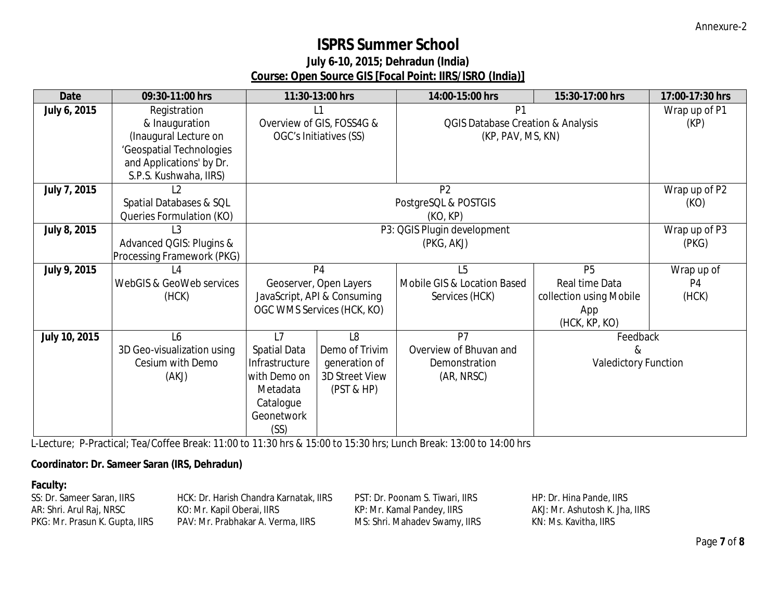# **ISPRS Summer School**

# **July 6-10, 2015; Dehradun (India) Course: Open Source GIS [Focal Point: IIRS/ISRO (India)]**

| <b>Date</b>         | 09:30-11:00 hrs            |                             | 11:30-13:00 hrs             | 14:00-15:00 hrs                              | 15:30-17:00 hrs             | 17:00-17:30 hrs |
|---------------------|----------------------------|-----------------------------|-----------------------------|----------------------------------------------|-----------------------------|-----------------|
| July 6, 2015        | Registration               |                             | L1                          | P <sub>1</sub>                               |                             | Wrap up of P1   |
|                     | & Inauguration             |                             | Overview of GIS, FOSS4G &   | <b>QGIS Database Creation &amp; Analysis</b> |                             | (KP)            |
|                     | (Inaugural Lecture on      |                             | OGC's Initiatives (SS)      | (KP, PAV, MS, KN)                            |                             |                 |
|                     | 'Geospatial Technologies   |                             |                             |                                              |                             |                 |
|                     | and Applications' by Dr.   |                             |                             |                                              |                             |                 |
|                     | S.P.S. Kushwaha, IIRS)     |                             |                             |                                              |                             |                 |
| July 7, 2015        | L2                         | P <sub>2</sub>              |                             |                                              |                             | Wrap up of P2   |
|                     | Spatial Databases & SQL    |                             |                             | PostgreSQL & POSTGIS                         |                             | (KO)            |
|                     | Queries Formulation (KO)   | (KO, KP)                    |                             |                                              |                             |                 |
| <b>July 8, 2015</b> | L <sub>3</sub>             | P3: QGIS Plugin development |                             |                                              | Wrap up of P3               |                 |
|                     | Advanced QGIS: Plugins &   | (PKG, AKJ)                  |                             |                                              | (PKG)                       |                 |
|                     | Processing Framework (PKG) |                             |                             |                                              |                             |                 |
| July 9, 2015        | L4                         |                             | P <sub>4</sub>              | L5                                           | <b>P5</b>                   | Wrap up of      |
|                     | WebGIS & GeoWeb services   |                             | Geoserver, Open Layers      | Mobile GIS & Location Based                  | Real time Data              | P4              |
|                     | (HCK)                      |                             | JavaScript, API & Consuming | Services (HCK)                               | collection using Mobile     | (HCK)           |
|                     |                            |                             | OGC WMS Services (HCK, KO)  |                                              | App                         |                 |
|                     |                            |                             |                             |                                              | (HCK, KP, KO)               |                 |
| July 10, 2015       | L6                         | L7                          | L <sub>8</sub>              | P7                                           | Feedback                    |                 |
|                     | 3D Geo-visualization using | <b>Spatial Data</b>         | Demo of Trivim              | Overview of Bhuvan and                       | &                           |                 |
|                     | Cesium with Demo           | Infrastructure              | generation of               | Demonstration                                | <b>Valedictory Function</b> |                 |
|                     | (AKJ)                      | with Demo on                | 3D Street View              | (AR, NRSC)                                   |                             |                 |
|                     |                            | Metadata                    | $($ PST & HP $)$            |                                              |                             |                 |
|                     |                            | Catalogue                   |                             |                                              |                             |                 |
|                     |                            | Geonetwork                  |                             |                                              |                             |                 |
|                     |                            | (SS)                        |                             |                                              |                             |                 |

L-Lecture; P-Practical; Tea/Coffee Break: 11:00 to 11:30 hrs & 15:00 to 15:30 hrs; Lunch Break: 13:00 to 14:00 hrs

### **Coordinator: Dr. Sameer Saran (IRS, Dehradun)**

#### **Faculty:**

| SS: Dr. Sameer Saran, IIRS     | HCK: Dr. Harish Chandra Karnatak, IIRS | PST: Dr. Poonam S. Tiwari, IIRS | HP: Dr. Hina Pande, IIRS       |
|--------------------------------|----------------------------------------|---------------------------------|--------------------------------|
| AR: Shri. Arul Raj, NRSC       | KO: Mr. Kapil Oberai, IIRS             | KP: Mr. Kamal Pandey, IIRS      | AKJ: Mr. Ashutosh K. Jha. IIRS |
| PKG: Mr. Prasun K. Gupta, IIRS | PAV: Mr. Prabhakar A. Verma. IIRS      | MS: Shri. Mahadev Swamy, IIRS   | KN: Ms. Kavitha, IIRS          |